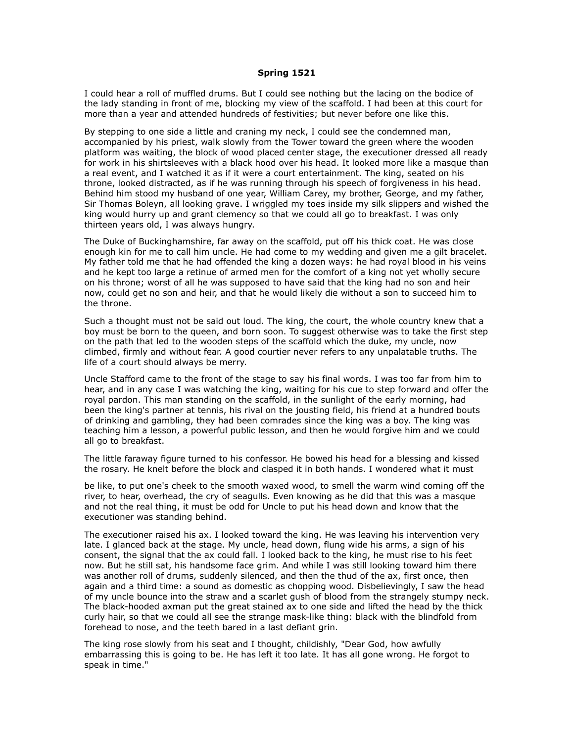## **Spring 1521**

I could hear a roll of muffled drums. But I could see nothing but the lacing on the bodice of the lady standing in front of me, blocking my view of the scaffold. I had been at this court for more than a year and attended hundreds of festivities; but never before one like this.

By stepping to one side a little and craning my neck, I could see the condemned man, accompanied by his priest, walk slowly from the Tower toward the green where the wooden platform was waiting, the block of wood placed center stage, the executioner dressed all ready for work in his shirtsleeves with a black hood over his head. It looked more like a masque than a real event, and I watched it as if it were a court entertainment. The king, seated on his throne, looked distracted, as if he was running through his speech of forgiveness in his head. Behind him stood my husband of one year, William Carey, my brother, George, and my father, Sir Thomas Boleyn, all looking grave. I wriggled my toes inside my silk slippers and wished the king would hurry up and grant clemency so that we could all go to breakfast. I was only thirteen years old, I was always hungry.

The Duke of Buckinghamshire, far away on the scaffold, put off his thick coat. He was close enough kin for me to call him uncle. He had come to my wedding and given me a gilt bracelet. My father told me that he had offended the king a dozen ways: he had royal blood in his veins and he kept too large a retinue of armed men for the comfort of a king not yet wholly secure on his throne; worst of all he was supposed to have said that the king had no son and heir now, could get no son and heir, and that he would likely die without a son to succeed him to the throne.

Such a thought must not be said out loud. The king, the court, the whole country knew that a boy must be born to the queen, and born soon. To suggest otherwise was to take the first step on the path that led to the wooden steps of the scaffold which the duke, my uncle, now climbed, firmly and without fear. A good courtier never refers to any unpalatable truths. The life of a court should always be merry.

Uncle Stafford came to the front of the stage to say his final words. I was too far from him to hear, and in any case I was watching the king, waiting for his cue to step forward and offer the royal pardon. This man standing on the scaffold, in the sunlight of the early morning, had been the king's partner at tennis, his rival on the jousting field, his friend at a hundred bouts of drinking and gambling, they had been comrades since the king was a boy. The king was teaching him a lesson, a powerful public lesson, and then he would forgive him and we could all go to breakfast.

The little faraway figure turned to his confessor. He bowed his head for a blessing and kissed the rosary. He knelt before the block and clasped it in both hands. I wondered what it must

be like, to put one's cheek to the smooth waxed wood, to smell the warm wind coming off the river, to hear, overhead, the cry of seagulls. Even knowing as he did that this was a masque and not the real thing, it must be odd for Uncle to put his head down and know that the executioner was standing behind.

The executioner raised his ax. I looked toward the king. He was leaving his intervention very late. I glanced back at the stage. My uncle, head down, flung wide his arms, a sign of his consent, the signal that the ax could fall. I looked back to the king, he must rise to his feet now. But he still sat, his handsome face grim. And while I was still looking toward him there was another roll of drums, suddenly silenced, and then the thud of the ax, first once, then again and a third time: a sound as domestic as chopping wood. Disbelievingly, I saw the head of my uncle bounce into the straw and a scarlet gush of blood from the strangely stumpy neck. The black-hooded axman put the great stained ax to one side and lifted the head by the thick curly hair, so that we could all see the strange mask-like thing: black with the blindfold from forehead to nose, and the teeth bared in a last defiant grin.

The king rose slowly from his seat and I thought, childishly, "Dear God, how awfully embarrassing this is going to be. He has left it too late. It has all gone wrong. He forgot to speak in time."